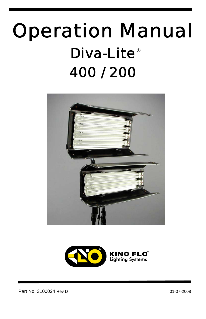# Operation Manual Diva-Lite<sup>®</sup> 400 / 200



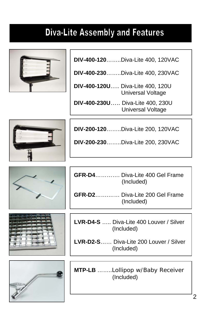### **Diva-Lite Assembly and Features**



 **DIV-400-120**……..Diva-Lite 400, 120VAC

 **DIV-400-230**……..Diva-Lite 400, 230VAC

 **DIV-400-120U**….. Diva-Lite 400, 120U Universal Voltage

 **DIV-400-230U**….. Diva-Lite 400, 230U Universal Voltage



**DIV-200-120**……..Diva-Lite 200, 120VAC

**DIV-200-230**……..Diva-Lite 200, 230VAC







**GFR-D4**…………. Diva-Lite 400 Gel Frame (Included)

**GFR-D2**…….…… Diva-Lite 200 Gel Frame (Included)

**LVR-D4-S** ….. Diva-Lite 400 Louver / Silver (Included)

**LVR-D2-S**…… Diva-Lite 200 Louver / Silver (Included)

**MTP-LB** ……..Lollipop w/Baby Receiver (Included)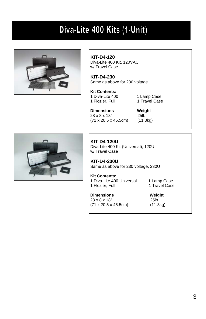### Diva-Lite 400 Kits (1-Unit)



 **KIT-D4-120** Diva-Lite 400 Kit, 120VAC w/ Travel Case

**KIT-D4-230** Same as above for 230 voltage

 **Kit Contents:**  1 Diva-Lite 400 1 Lamp Case<br>1 Flozier. Full 1 Travel Case 1 Flozier, Full

**Dimensions** Weight<br>  $28 \times 8 \times 18$ " 25lb  $28 \times 8 \times 18$ " (71 x 20.5 x 45.5cm) (11.3kg)



 **KIT-D4-120U** Diva-Lite 400 Kit (Universal), 120U w/ Travel Case

**KIT-D4-230U** Same as above for 230 voltage, 230U

 **Kit Contents:**  1 Diva-Lite 400 Universal 1 Lamp Case<br>1 Flozier. Full 1 Travel Case 1 Flozier, Full

**Dimensions** Weight<br>  $28 \times 8 \times 18$ " 25lb 28 x 8 x 18" 25lb<br>(71 x 20.5 x 45.5cm) (11.3kg)  $(71 \times 20.5 \times 45.5$ cm)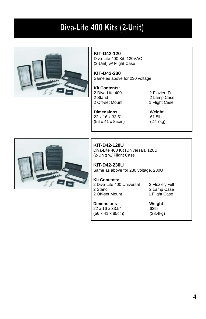### Diva-Lite 400 Kits (2-Unit)



#### **KIT-D42-120**

Diva-Lite 400 Kit, 120VAC (2-Unit) w/ Flight Case

**KIT-D42-230** Same as above for 230 voltage

#### **Kit Contents:**

2 Diva-Lite 400 2 Flozier, Full<br>2 Stand 2 Lamp Case 2 Off-set Mount 1 Flight Case

2 Lamp Case

#### **Dimensions Weight**<br>  $22 \times 16 \times 33.5$ " 61.5lb 22 x 16 x 33.5" (56 x 41 x 85cm) (27.7kg)



**KIT-D42-120U**  Diva-Lite 400 Kit (Universal), 120U (2-Unit) w/ Flight Case

**KIT-D42-230U** Same as above for 230 voltage, 230U

#### **Kit Contents:**

2 Diva-Lite 400 Universal 2 Flozier, Full<br>2 Stand 2 Lamp Case 2 Off-set Mount

2 Lamp Case<br>1 Flight Case

#### **Dimensions Weight**

22 x 16 x 33.5" 63lb<br>(56 x 41 x 85cm) (28.4kg)  $(56 \times 41 \times 85 \text{cm})$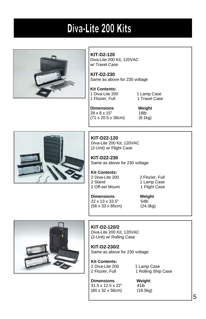### Diva-Lite 200 Kits



 **KIT-D2-120** Diva-Lite 200 Kit, 120VAC w/ Travel Case

**KIT-D2-230** Same as above for 230 voltage

 **Kit Contents:**  1 Diva-Lite 200 1 Lamp Case<br>1 Flozier, Full 1 Travel Case 1 Flozier, Full

 **Dimensions Weight**  28 x 8 x 15" 18lb (71 x 20.5 x 38cm) (8.1kg)



**KIT-D22-120**  Diva-Lite 200 Kit, 120VAC (2-Unit) w/ Flight Case **KIT-D22-230**

Same as above for 230 voltage

**Kit Contents:**  2 Diva-Lite 200 2 Flozier, Full<br>2 Stand 2 1 Lamp Case 2 Off-set Mount

1 Lamp Case<br>1 Flight Case

**Dimensions Weight**  22 x 13 x 33.5" 54lb (56 x 33 x 85cm) (24.3kg)



**KIT-D2-120/2** Diva-Lite 200 Kit, 120VAC (2-Unit) w/ Rolling Case

**KIT-D2-230/2** Same as above for 230 voltage

**Kit Contents:**  2 Diva-Lite 200 1 Lamp Case<br>2 Flozier, Full 1 Rolling Ship

**Dimensions Weight** 31.5 x 12.5 x 22" 41lb 31.5 x 12.5 x 22" 41lb<br>(80 x 32 x 56cm) (18.5kg)  $(80 \times 32 \times 56$  cm)

1 Rolling Ship Case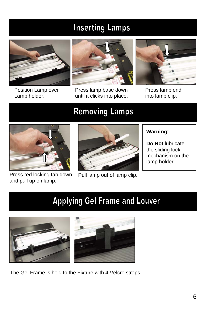### **Inserting Lamps**



Position Lamp over Lamp holder.



Press lamp base down until it clicks into place.



Press lamp end into lamp clip.

### **Removing Lamps**



Press red locking tab down and pull up on lamp.



Pull lamp out of lamp clip.

#### **Warning!**

**Do Not** lubricate the sliding lock mechanism on the lamp holder.

### **Applying Gel Frame and Louver**



The Gel Frame is held to the Fixture with 4 Velcro straps.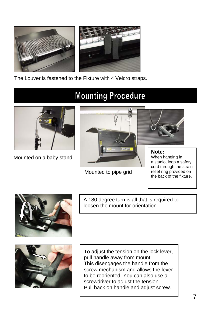

The Louver is fastened to the Fixture with 4 Velcro straps.



Mounted on a baby stand

### **Mounting Procedure**



Mounted to pipe grid

When hanging in a studio, loop a safety cord through the strainrelief ring provided on

the back of the fixture.



A 180 degree turn is all that is required to loosen the mount for orientation.



To adjust the tension on the lock lever, pull handle away from mount. This disengages the handle from the screw mechanism and allows the lever to be reoriented. You can also use a screwdriver to adjust the tension. Pull back on handle and adjust screw.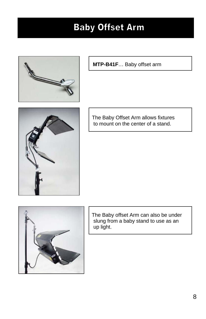### **Baby Offset Arm**



**MTP-B41F**… Baby offset arm



 The Baby Offset Arm allows fixtures to mount on the center of a stand.



 The Baby offset Arm can also be under slung from a baby stand to use as an up light.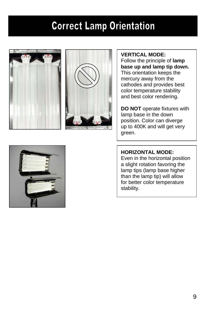### **Correct Lamp Orientation**





#### **VERTICAL MODE:**

Follow the principle of **lamp base up and lamp tip down.** This orientation keeps the mercury away from the cathodes and provides best color temperature stability and best color rendering.

**DO NOT** operate fixtures with lamp base in the down position. Color can diverge up to 400K and will get very green.

#### **HORIZONTAL MODE:**

Even in the horizontal position a slight rotation favoring the lamp tips (lamp base higher than the lamp tip) will allow for better color temperature stability.

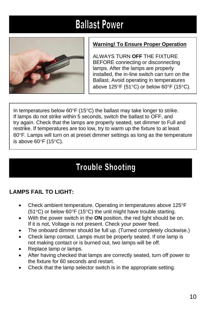## **Ballast Power**



#### **Warning! To Ensure Proper Operation**

ALWAYS TURN **OFF** THE FIXTURE BEFORE connecting or disconnecting lamps. After the lamps are properly installed, the in-line switch can turn on the Ballast. Avoid operating in temperatures above 125°F (51°C) or below 60°F (15°C).

In temperatures below 60°F (15°C) the ballast may take longer to strike. If lamps do not strike within 5 seconds, switch the ballast to OFF, and try again. Check that the lamps are properly seated, set dimmer to Full and restrike. If temperatures are too low, try to warm up the fixture to at least 60°F. Lamps will turn on at preset dimmer settings as long as the temperature is above 60°F (15°C).

### **Trouble Shooting**

#### **LAMPS FAIL TO LIGHT:**

- Check ambient temperature. Operating in temperatures above 125°F (51°C) or below 60°F (15°C) the unit might have trouble starting.
- With the power switch in the **ON** position, the red light should be on. If it is not, Voltage is not present. Check your power feed.
- The onboard dimmer should be full up. (Turned completely clockwise.)
- Check lamp contact. Lamps must be properly seated. If one lamp is not making contact or is burned out, two lamps will be off.
- Replace lamp or lamps.
- After having checked that lamps are correctly seated, turn off power to the fixture for 60 seconds and restart.
- Check that the lamp selector switch is in the appropriate setting.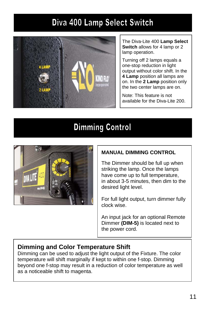### Diva 400 Lamp Select Switch



The Diva-Lite 400 **Lamp Select Switch** allows for 4 lamp or 2 lamp operation.

Turning off 2 lamps equals a one-stop reduction in light output without color shift. In the **4 Lamp** position all lamps are on. In the **2 Lamp** position only the two center lamps are on.

Note: This feature is not available for the Diva-Lite 200.

#### **Dimming Control**



#### **MANUAL DIMMING CONTROL**

The Dimmer should be full up when striking the lamp. Once the lamps have come up to full temperature, in about 3-5 minutes, then dim to the desired light level.

For full light output, turn dimmer fully clock wise.

An input jack for an optional Remote Dimmer **(DIM-5)** is located next to the power cord.

#### **Dimming and Color Temperature Shift**

Dimming can be used to adjust the light output of the Fixture. The color temperature will shift marginally if kept to within one f-stop. Dimming beyond one f-stop may result in a reduction of color temperature as well as a noticeable shift to magenta.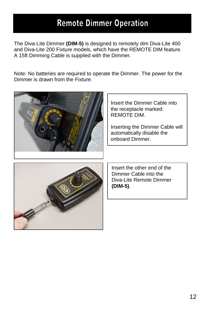#### **Remote Dimmer Operation**

The Diva-Lite Dimmer **(DIM-5)** is designed to remotely dim Diva-Lite 400 and Diva-Lite 200 Fixture models, which have the REMOTE DIM feature. A 15ft Dimming Cable is supplied with the Dimmer.

Note: No batteries are required to operate the Dimmer. The power for the Dimmer is drawn from the Fixture.



 Insert the Dimmer Cable into the receptacle marked: REMOTE DIM.

 Inserting the Dimmer Cable will automatically disable the onboard Dimmer.



Insert the other end of the Dimmer Cable into the Diva-Lite Remote Dimmer **(DIM-5)**.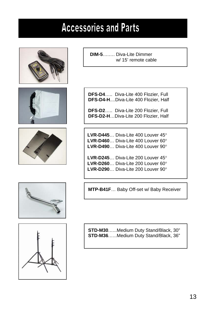### **Accessories and Parts**









**DFS-D4**….. Diva-Lite 400 Flozier, Full **DFS-D4-H**....Diva-Lite 400 Flozier, Half

**DFS-D2**….. Diva-Lite 200 Flozier, Full **DFS-D2-H**…Diva-Lite 200 Flozier, Half

 **LVR-D445**… Diva-Lite 400 Louver 45°  **LVR-D460**… Diva-Lite 400 Louver 60°  **LVR-D490**… Diva-Lite 400 Louver 90°

 **LVR-D245**… Diva-Lite 200 Louver 45°  **LVR-D260**… Diva-Lite 200 Louver 60°  **LVR-D290**… Diva-Lite 200 Louver 90°

**MTP-B41F**… Baby Off-set w/ Baby Receiver



**STD-M30**.…..Medium Duty Stand/Black, 30" **STD-M36**.…..Medium Duty Stand/Black, 36"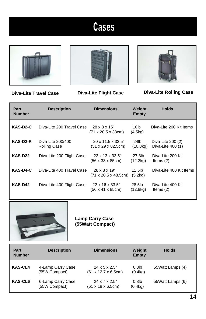## **Cases**







**Diva-Lite Travel Case Diva-Lite Flight Case Diva-Lite Rolling Case**

| Part<br><b>Number</b> | <b>Description</b>                       | <b>Dimensions</b>                                                    | Weight<br>Empty               | <b>Holds</b>                           |
|-----------------------|------------------------------------------|----------------------------------------------------------------------|-------------------------------|----------------------------------------|
| KAS-D2-C              | Diva-Lite 200 Travel Case                | 28 x 8 x 15"<br>$(71 \times 20.5 \times 38$ cm)                      | 10lb<br>(4.5kg)               | Diva-Lite 200 Kit Items                |
| KAS-D2-R              | Diva-Lite 200/400<br><b>Rolling Case</b> | $20 \times 11.5 \times 32.5$ "<br>(51 x 29 x 82.5cm)                 | 24lb<br>(10.8 <sub>kq</sub> ) | Diva-Lite 200 (2)<br>Diva-Lite 400 (1) |
| KAS-D22               | Diva-Lite 200 Flight Case                | 22 x 13 x 33.5"<br>$(56 \times 33 \times 85 \text{cm})$              | 27.3lb<br>(12.3kg)            | Diva-Lite 200 Kit<br>Items $(2)$       |
| KAS-D4-C              | Diva-Lite 400 Travel Case                | $28 \times 8 \times 19$ "<br>$(71 \times 20.5 \times 48.5$ cm)       | 11.5lb<br>(5.2kg)             | Diva-Lite 400 Kit Items                |
| KAS-D42               | Diva-Lite 400 Flight Case                | $22 \times 16 \times 33.5$ "<br>$(56 \times 41 \times 85 \text{cm})$ | 28.5lb<br>(12.8kg)            | Diva-Lite 400 Kit<br>Items $(2)$       |



**Lamp Carry Case (55Watt Compact)**

| Part<br><b>Number</b> | <b>Description</b>                 | <b>Dimensions</b>                                                     | Weight<br>Empty                  | <b>Holds</b>     |
|-----------------------|------------------------------------|-----------------------------------------------------------------------|----------------------------------|------------------|
| <b>KAS-CL4</b>        | 4-Lamp Carry Case<br>(55W Compact) | $24 \times 5 \times 2.5$ "<br>$(61 \times 12.7 \times 6.5 \text{cm})$ | $0.8$ lb<br>(0.4 <sub>kq</sub> ) | 55Watt Lamps (4) |
| KAS-CL6               | 6-Lamp Carry Case<br>(55W Compact) | 24 x 7 x 2.5"<br>$(61 \times 18 \times 6.5 \text{cm})$                | $0.8$ lb<br>(0.4kg)              | 55Watt Lamps (6) |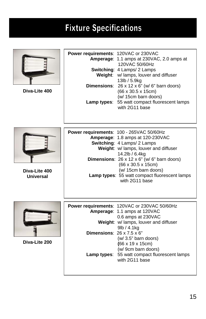### **Fixture Specifications**

| Diva-Lite 400              | Power requirements: 120VAC or 230VAC          | Amperage: 1.1 amps at 230VAC, 2.0 amps at<br>120VAC 50/60Hz<br>Switching: 4 Lamps/ 2 Lamps<br>Weight: w/ lamps, louver and diffuser<br>13lb / 5.9kg<br><b>Dimensions:</b> $26 \times 12 \times 6$ " (w/ 6" barn doors)<br>(66 x 30.5 x 15cm)<br>(w/ 15cm barn doors)<br>Lamp types: 55 watt compact fluorescent lamps<br>with 2G11 base                    |
|----------------------------|-----------------------------------------------|------------------------------------------------------------------------------------------------------------------------------------------------------------------------------------------------------------------------------------------------------------------------------------------------------------------------------------------------------------|
| Diva-Lite 400<br>Universal |                                               | Power requirements: 100 - 265VAC 50/60Hz<br>Amperage: 1.8 amps at 120-230VAC<br>Switching: 4 Lamps/ 2 Lamps<br>Weight: w/ lamps, louver and diffuser<br>14.2lb / 6.4kg<br><b>Dimensions:</b> $26 \times 12 \times 6$ " (w/ 6" barn doors)<br>(66 x 30.5 x 15cm)<br>(w/ 15cm barn doors)<br>Lamp types: 55 watt compact fluorescent lamps<br>with 2G11 base |
| Diva-Lite 200              | <b>Dimensions:</b> $26 \times 7.5 \times 6$ " | Power requirements: 120VAC or 230VAC 50/60Hz<br>Amperage: 1.1 amps at 120VAC<br>0.6 amps at 230VAC<br>Weight: w/ lamps, louver and diffuser<br>9lb / 4.1kg<br>(w/ 3.5" barn doors)<br>$(66 \times 19 \times 15 \text{cm})$<br>(w/ 9cm barn doors)<br>Lamp types: 55 watt compact fluorescent lamps<br>with 2G11 base                                       |